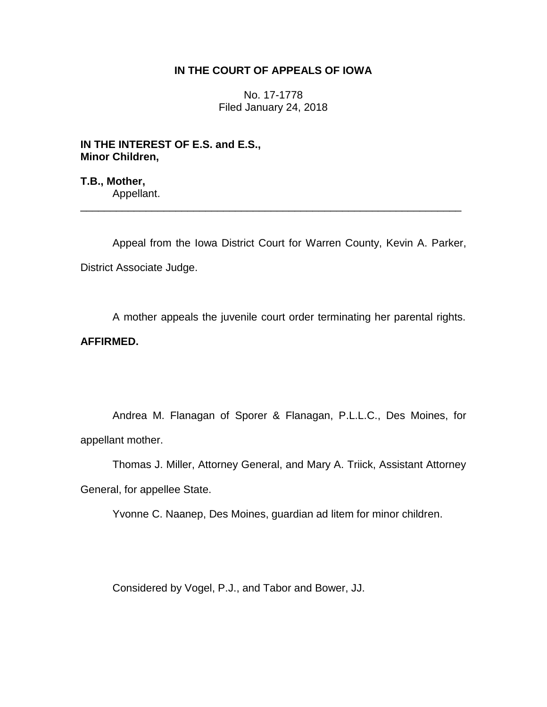# **IN THE COURT OF APPEALS OF IOWA**

No. 17-1778 Filed January 24, 2018

**IN THE INTEREST OF E.S. and E.S., Minor Children,**

**T.B., Mother,** Appellant.

Appeal from the Iowa District Court for Warren County, Kevin A. Parker, District Associate Judge.

\_\_\_\_\_\_\_\_\_\_\_\_\_\_\_\_\_\_\_\_\_\_\_\_\_\_\_\_\_\_\_\_\_\_\_\_\_\_\_\_\_\_\_\_\_\_\_\_\_\_\_\_\_\_\_\_\_\_\_\_\_\_\_\_

A mother appeals the juvenile court order terminating her parental rights. **AFFIRMED.**

Andrea M. Flanagan of Sporer & Flanagan, P.L.L.C., Des Moines, for appellant mother.

Thomas J. Miller, Attorney General, and Mary A. Triick, Assistant Attorney General, for appellee State.

Yvonne C. Naanep, Des Moines, guardian ad litem for minor children.

Considered by Vogel, P.J., and Tabor and Bower, JJ.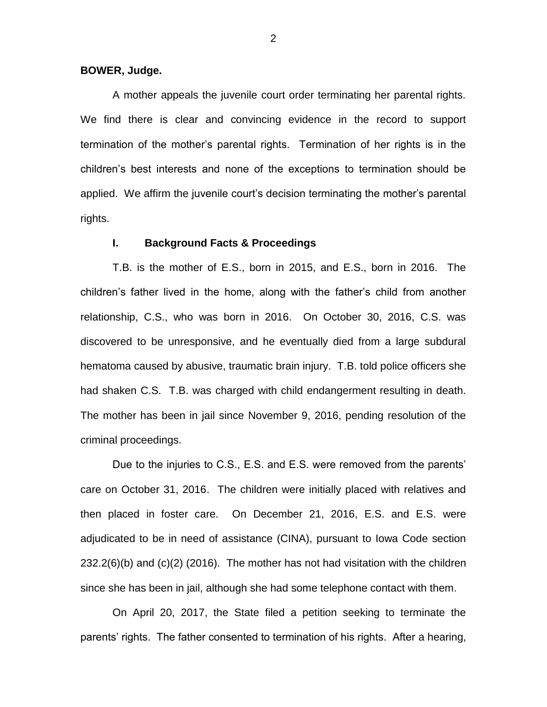#### **BOWER, Judge.**

A mother appeals the juvenile court order terminating her parental rights. We find there is clear and convincing evidence in the record to support termination of the mother's parental rights. Termination of her rights is in the children's best interests and none of the exceptions to termination should be applied. We affirm the juvenile court's decision terminating the mother's parental rights.

## **I. Background Facts & Proceedings**

T.B. is the mother of E.S., born in 2015, and E.S., born in 2016. The children's father lived in the home, along with the father's child from another relationship, C.S., who was born in 2016. On October 30, 2016, C.S. was discovered to be unresponsive, and he eventually died from a large subdural hematoma caused by abusive, traumatic brain injury. T.B. told police officers she had shaken C.S. T.B. was charged with child endangerment resulting in death. The mother has been in jail since November 9, 2016, pending resolution of the criminal proceedings.

Due to the injuries to C.S., E.S. and E.S. were removed from the parents' care on October 31, 2016. The children were initially placed with relatives and then placed in foster care. On December 21, 2016, E.S. and E.S. were adjudicated to be in need of assistance (CINA), pursuant to Iowa Code section 232.2(6)(b) and (c)(2) (2016). The mother has not had visitation with the children since she has been in jail, although she had some telephone contact with them.

On April 20, 2017, the State filed a petition seeking to terminate the parents' rights. The father consented to termination of his rights. After a hearing,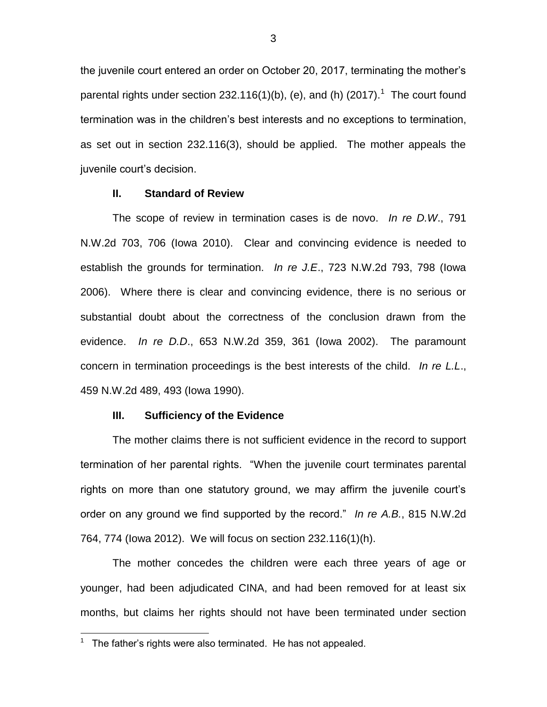the juvenile court entered an order on October 20, 2017, terminating the mother's parental rights under section 232.116(1)(b), (e), and (h) (2017).<sup>1</sup> The court found termination was in the children's best interests and no exceptions to termination, as set out in section 232.116(3), should be applied. The mother appeals the juvenile court's decision.

### **II. Standard of Review**

The scope of review in termination cases is de novo. *In re D.W*., 791 N.W.2d 703, 706 (Iowa 2010). Clear and convincing evidence is needed to establish the grounds for termination. *In re J.E*., 723 N.W.2d 793, 798 (Iowa 2006). Where there is clear and convincing evidence, there is no serious or substantial doubt about the correctness of the conclusion drawn from the evidence. *In re D.D*., 653 N.W.2d 359, 361 (Iowa 2002). The paramount concern in termination proceedings is the best interests of the child. *In re L.L*., 459 N.W.2d 489, 493 (Iowa 1990).

#### **III. Sufficiency of the Evidence**

The mother claims there is not sufficient evidence in the record to support termination of her parental rights. "When the juvenile court terminates parental rights on more than one statutory ground, we may affirm the juvenile court's order on any ground we find supported by the record." *In re A.B.*, 815 N.W.2d 764, 774 (Iowa 2012). We will focus on section 232.116(1)(h).

The mother concedes the children were each three years of age or younger, had been adjudicated CINA, and had been removed for at least six months, but claims her rights should not have been terminated under section

 $\overline{a}$ 

 $1$  The father's rights were also terminated. He has not appealed.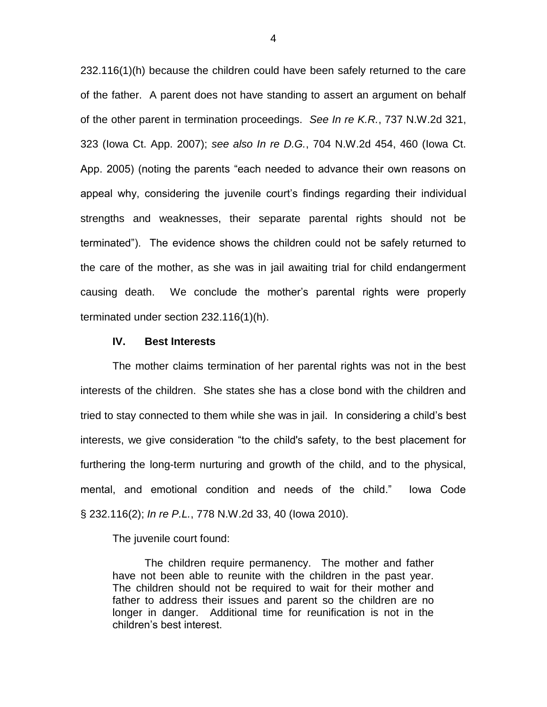232.116(1)(h) because the children could have been safely returned to the care of the father. A parent does not have standing to assert an argument on behalf of the other parent in termination proceedings. *See In re K.R.*, 737 N.W.2d 321, 323 (Iowa Ct. App. 2007); *see also In re D.G.*, 704 N.W.2d 454, 460 (Iowa Ct. App. 2005) (noting the parents "each needed to advance their own reasons on appeal why, considering the juvenile court's findings regarding their individual strengths and weaknesses, their separate parental rights should not be terminated"). The evidence shows the children could not be safely returned to the care of the mother, as she was in jail awaiting trial for child endangerment causing death. We conclude the mother's parental rights were properly terminated under section 232.116(1)(h).

#### **IV. Best Interests**

The mother claims termination of her parental rights was not in the best interests of the children. She states she has a close bond with the children and tried to stay connected to them while she was in jail. In considering a child's best interests, we give consideration "to the child's safety, to the best placement for furthering the long-term nurturing and growth of the child, and to the physical, mental, and emotional condition and needs of the child." Iowa Code § 232.116(2); *In re P.L.*, 778 N.W.2d 33, 40 (Iowa 2010).

The juvenile court found:

The children require permanency. The mother and father have not been able to reunite with the children in the past year. The children should not be required to wait for their mother and father to address their issues and parent so the children are no longer in danger. Additional time for reunification is not in the children's best interest.

4